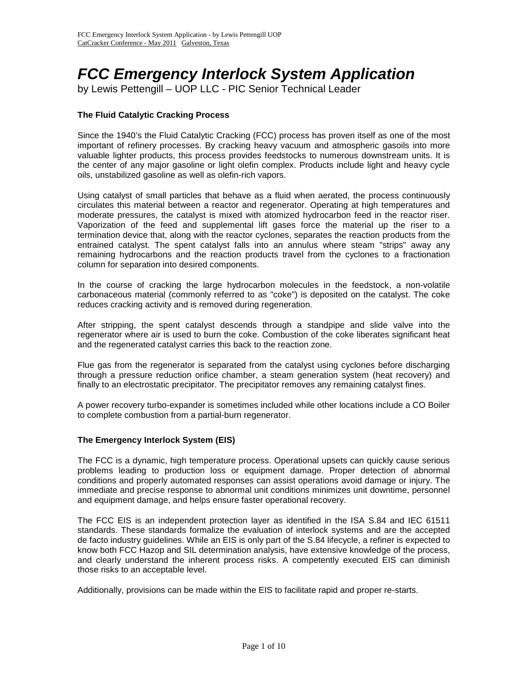# *FCC Emergency Interlock System Application*<br>by Lewis Pettengill – UOP LLC - PIC Senior Technical Leader

# **The Fluid Catalytic Cracking Process**

Since the 1940's the Fluid Catalytic Cracking (FCC) process has proven itself as one of the most important of refinery processes. By cracking heavy vacuum and atmospheric gasoils into more valuable lighter products, this process provides feedstocks to numerous downstream units. It is the center of any major gasoline or light olefin complex. Products include light and heavy cycle oils, unstabilized gasoline as well as olefin-rich vapors.

Using catalyst of small particles that behave as a fluid when aerated, the process continuously circulates this material between a reactor and regenerator. Operating at high temperatures and moderate pressures, the catalyst is mixed with atomized hydrocarbon feed in the reactor riser. Vaporization of the feed and supplemental lift gases force the material up the riser to a termination device that, along with the reactor cyclones, separates the reaction products from the entrained catalyst. The spent catalyst falls into an annulus where steam "strips" away any remaining hydrocarbons and the reaction products travel from the cyclones to a fractionation column for separation into desired components.

In the course of cracking the large hydrocarbon molecules in the feedstock, a non-volatile carbonaceous material (commonly referred to as "coke") is deposited on the catalyst. The coke reduces cracking activity and is removed during regeneration.

After stripping, the spent catalyst descends through a standpipe and slide valve into the regenerator where air is used to burn the coke. Combustion of the coke liberates significant heat and the regenerated catalyst carries this back to the reaction zone.

Flue gas from the regenerator is separated from the catalyst using cyclones before discharging through a pressure reduction orifice chamber, a steam generation system (heat recovery) and finally to an electrostatic precipitator. The precipitator removes any remaining catalyst fines.

A power recovery turbo-expander is sometimes included while other locations include a CO Boiler to complete combustion from a partial-burn regenerator.

#### **The Emergency Interlock System (EIS)**

The FCC is a dynamic, high temperature process. Operational upsets can quickly cause serious problems leading to production loss or equipment damage. Proper detection of abnormal conditions and properly automated responses can assist operations avoid damage or injury. The immediate and precise response to abnormal unit conditions minimizes unit downtime, personnel and equipment damage, and helps ensure faster operational recovery.

The FCC EIS is an independent protection layer as identified in the ISA S.84 and IEC 61511 standards. These standards formalize the evaluation of interlock systems and are the accepted de facto industry guidelines. While an EIS is only part of the S.84 lifecycle, a refiner is expected to know both FCC Hazop and SIL determination analysis, have extensive knowledge of the process, and clearly understand the inherent process risks. A competently executed EIS can diminish those risks to an acceptable level.

Additionally, provisions can be made within the EIS to facilitate rapid and proper re-starts.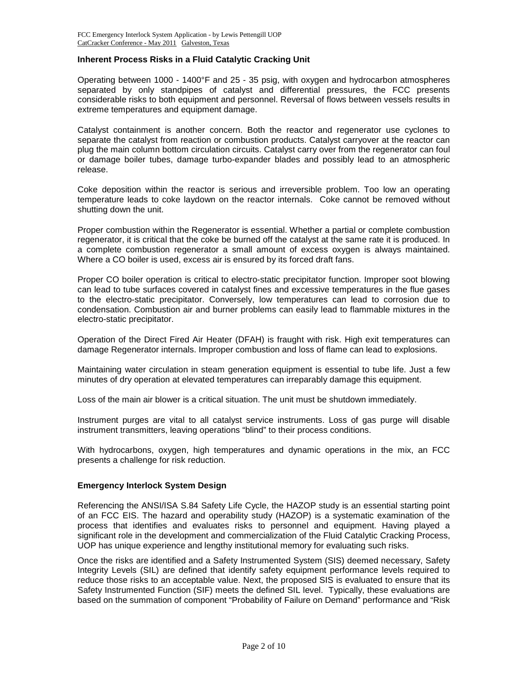## **Inherent Process Risks in a Fluid Catalytic Cracking Unit**

Operating between 1000 - 1400°F and 25 - 35 psig, with oxygen and hydrocarbon atmospheres separated by only standpipes of catalyst and differential pressures, the FCC presents considerable risks to both equipment and personnel. Reversal of flows between vessels results in extreme temperatures and equipment damage.

Catalyst containment is another concern. Both the reactor and regenerator use cyclones to separate the catalyst from reaction or combustion products. Catalyst carryover at the reactor can plug the main column bottom circulation circuits. Catalyst carry over from the regenerator can foul or damage boiler tubes, damage turbo-expander blades and possibly lead to an atmospheric release.

Coke deposition within the reactor is serious and irreversible problem. Too low an operating temperature leads to coke laydown on the reactor internals. Coke cannot be removed without shutting down the unit.

Proper combustion within the Regenerator is essential. Whether a partial or complete combustion regenerator, it is critical that the coke be burned off the catalyst at the same rate it is produced. In a complete combustion regenerator a small amount of excess oxygen is always maintained. Where a CO boiler is used, excess air is ensured by its forced draft fans.

Proper CO boiler operation is critical to electro-static precipitator function. Improper soot blowing can lead to tube surfaces covered in catalyst fines and excessive temperatures in the flue gases to the electro-static precipitator. Conversely, low temperatures can lead to corrosion due to condensation. Combustion air and burner problems can easily lead to flammable mixtures in the electro-static precipitator.

Operation of the Direct Fired Air Heater (DFAH) is fraught with risk. High exit temperatures can damage Regenerator internals. Improper combustion and loss of flame can lead to explosions.

Maintaining water circulation in steam generation equipment is essential to tube life. Just a few minutes of dry operation at elevated temperatures can irreparably damage this equipment.

Loss of the main air blower is a critical situation. The unit must be shutdown immediately.

Instrument purges are vital to all catalyst service instruments. Loss of gas purge will disable instrument transmitters, leaving operations "blind" to their process conditions.

With hydrocarbons, oxygen, high temperatures and dynamic operations in the mix, an FCC presents a challenge for risk reduction.

#### **Emergency Interlock System Design**

Referencing the ANSI/ISA S.84 Safety Life Cycle, the HAZOP study is an essential starting point of an FCC EIS. The hazard and operability study (HAZOP) is a systematic examination of the process that identifies and evaluates risks to personnel and equipment. Having played a significant role in the development and commercialization of the Fluid Catalytic Cracking Process, UOP has unique experience and lengthy institutional memory for evaluating such risks.

Once the risks are identified and a Safety Instrumented System (SIS) deemed necessary, Safety Integrity Levels (SIL) are defined that identify safety equipment performance levels required to reduce those risks to an acceptable value. Next, the proposed SIS is evaluated to ensure that its Safety Instrumented Function (SIF) meets the defined SIL level. Typically, these evaluations are based on the summation of component "Probability of Failure on Demand" performance and "Risk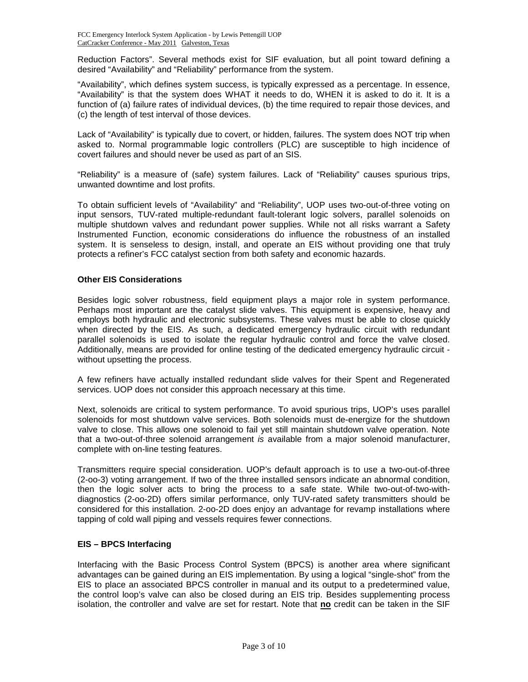Reduction Factors". Several methods exist for SIF evaluation, but all point toward defining a desired "Availability" and "Reliability" performance from the system.

"Availability", which defines system success, is typically expressed as a percentage. In essence, "Availability" is that the system does WHAT it needs to do, WHEN it is asked to do it. It is a function of (a) failure rates of individual devices, (b) the time required to repair those devices, and (c) the length of test interval of those devices.

Lack of "Availability" is typically due to covert, or hidden, failures. The system does NOT trip when asked to. Normal programmable logic controllers (PLC) are susceptible to high incidence of covert failures and should never be used as part of an SIS.

"Reliability" is a measure of (safe) system failures. Lack of "Reliability" causes spurious trips, unwanted downtime and lost profits.

To obtain sufficient levels of "Availability" and "Reliability", UOP uses two-out-of-three voting on input sensors, TUV-rated multiple-redundant fault-tolerant logic solvers, parallel solenoids on multiple shutdown valves and redundant power supplies. While not all risks warrant a Safety Instrumented Function, economic considerations do influence the robustness of an installed system. It is senseless to design, install, and operate an EIS without providing one that truly protects a refiner's FCC catalyst section from both safety and economic hazards.

# **Other EIS Considerations**

Besides logic solver robustness, field equipment plays a major role in system performance. Perhaps most important are the catalyst slide valves. This equipment is expensive, heavy and employs both hydraulic and electronic subsystems. These valves must be able to close quickly when directed by the EIS. As such, a dedicated emergency hydraulic circuit with redundant parallel solenoids is used to isolate the regular hydraulic control and force the valve closed. Additionally, means are provided for online testing of the dedicated emergency hydraulic circuit without upsetting the process.

A few refiners have actually installed redundant slide valves for their Spent and Regenerated services. UOP does not consider this approach necessary at this time.

Next, solenoids are critical to system performance. To avoid spurious trips, UOP's uses parallel solenoids for most shutdown valve services. Both solenoids must de-energize for the shutdown valve to close. This allows one solenoid to fail yet still maintain shutdown valve operation. Note that a two-out-of-three solenoid arrangement *is* available from a major solenoid manufacturer, complete with on-line testing features.

Transmitters require special consideration. UOP's default approach is to use a two-out-of-three (2-oo-3) voting arrangement. If two of the three installed sensors indicate an abnormal condition, then the logic solver acts to bring the process to a safe state. While two-out-of-two-withdiagnostics (2-oo-2D) offers similar performance, only TUV-rated safety transmitters should be considered for this installation. 2-oo-2D does enjoy an advantage for revamp installations where tapping of cold wall piping and vessels requires fewer connections.

#### **EIS – BPCS Interfacing**

Interfacing with the Basic Process Control System (BPCS) is another area where significant advantages can be gained during an EIS implementation. By using a logical "single-shot" from the EIS to place an associated BPCS controller in manual and its output to a predetermined value, the control loop's valve can also be closed during an EIS trip. Besides supplementing process isolation, the controller and valve are set for restart. Note that **no** credit can be taken in the SIF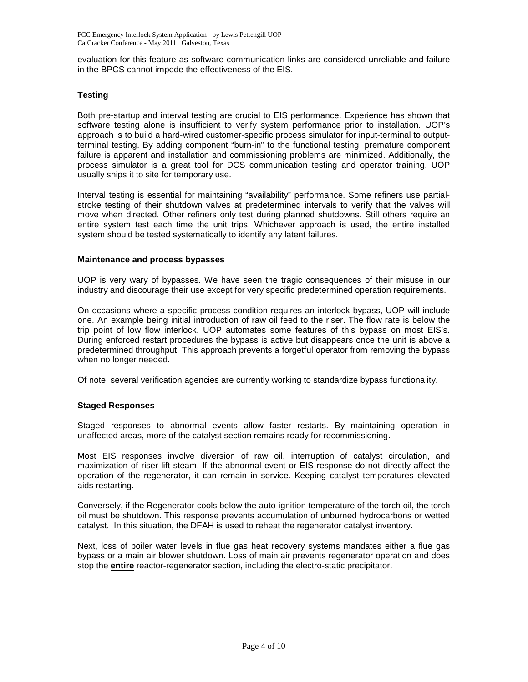evaluation for this feature as software communication links are considered unreliable and failure in the BPCS cannot impede the effectiveness of the EIS.

# **Testing**

Both pre-startup and interval testing are crucial to EIS performance. Experience has shown that software testing alone is insufficient to verify system performance prior to installation. UOP's approach is to build a hard-wired customer-specific process simulator for input-terminal to outputterminal testing. By adding component "burn-in" to the functional testing, premature component failure is apparent and installation and commissioning problems are minimized. Additionally, the process simulator is a great tool for DCS communication testing and operator training. UOP usually ships it to site for temporary use.

Interval testing is essential for maintaining "availability" performance. Some refiners use partialstroke testing of their shutdown valves at predetermined intervals to verify that the valves will move when directed. Other refiners only test during planned shutdowns. Still others require an entire system test each time the unit trips. Whichever approach is used, the entire installed system should be tested systematically to identify any latent failures.

#### **Maintenance and process bypasses**

UOP is very wary of bypasses. We have seen the tragic consequences of their misuse in our industry and discourage their use except for very specific predetermined operation requirements.

On occasions where a specific process condition requires an interlock bypass, UOP will include one. An example being initial introduction of raw oil feed to the riser. The flow rate is below the trip point of low flow interlock. UOP automates some features of this bypass on most EIS's. During enforced restart procedures the bypass is active but disappears once the unit is above a predetermined throughput. This approach prevents a forgetful operator from removing the bypass when no longer needed.

Of note, several verification agencies are currently working to standardize bypass functionality.

#### **Staged Responses**

Staged responses to abnormal events allow faster restarts. By maintaining operation in unaffected areas, more of the catalyst section remains ready for recommissioning.

Most EIS responses involve diversion of raw oil, interruption of catalyst circulation, and maximization of riser lift steam. If the abnormal event or EIS response do not directly affect the operation of the regenerator, it can remain in service. Keeping catalyst temperatures elevated aids restarting.

Conversely, if the Regenerator cools below the auto-ignition temperature of the torch oil, the torch oil must be shutdown. This response prevents accumulation of unburned hydrocarbons or wetted catalyst. In this situation, the DFAH is used to reheat the regenerator catalyst inventory.

Next, loss of boiler water levels in flue gas heat recovery systems mandates either a flue gas bypass or a main air blower shutdown. Loss of main air prevents regenerator operation and does stop the **entire** reactor-regenerator section, including the electro-static precipitator.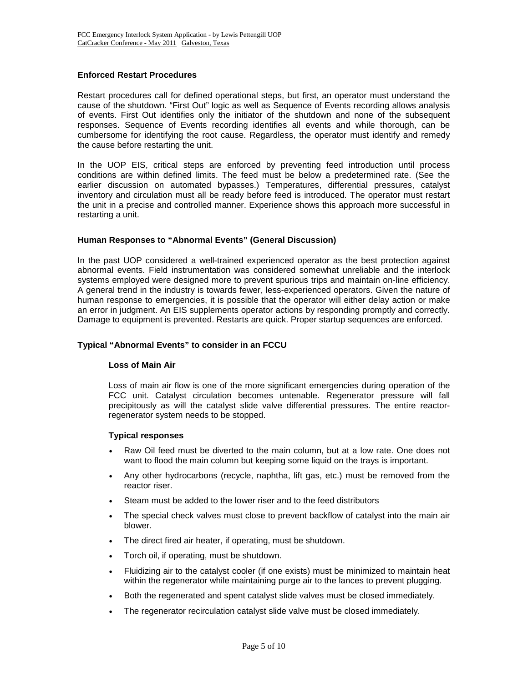## **Enforced Restart Procedures**

Restart procedures call for defined operational steps, but first, an operator must understand the cause of the shutdown. "First Out" logic as well as Sequence of Events recording allows analysis of events. First Out identifies only the initiator of the shutdown and none of the subsequent responses. Sequence of Events recording identifies all events and while thorough, can be cumbersome for identifying the root cause. Regardless, the operator must identify and remedy the cause before restarting the unit.

In the UOP EIS, critical steps are enforced by preventing feed introduction until process conditions are within defined limits. The feed must be below a predetermined rate. (See the earlier discussion on automated bypasses.) Temperatures, differential pressures, catalyst inventory and circulation must all be ready before feed is introduced. The operator must restart the unit in a precise and controlled manner. Experience shows this approach more successful in restarting a unit.

# **Human Responses to "Abnormal Events" (General Discussion)**

In the past UOP considered a well-trained experienced operator as the best protection against abnormal events. Field instrumentation was considered somewhat unreliable and the interlock systems employed were designed more to prevent spurious trips and maintain on-line efficiency. A general trend in the industry is towards fewer, less-experienced operators. Given the nature of human response to emergencies, it is possible that the operator will either delay action or make an error in judgment. An EIS supplements operator actions by responding promptly and correctly. Damage to equipment is prevented. Restarts are quick. Proper startup sequences are enforced.

## **Typical "Abnormal Events" to consider in an FCCU**

#### **Loss of Main Air**

Loss of main air flow is one of the more significant emergencies during operation of the FCC unit. Catalyst circulation becomes untenable. Regenerator pressure will fall precipitously as will the catalyst slide valve differential pressures. The entire reactorregenerator system needs to be stopped.

#### **Typical responses**

- Raw Oil feed must be diverted to the main column, but at a low rate. One does not want to flood the main column but keeping some liquid on the trays is important.
- Any other hydrocarbons (recycle, naphtha, lift gas, etc.) must be removed from the reactor riser.
- Steam must be added to the lower riser and to the feed distributors
- The special check valves must close to prevent backflow of catalyst into the main air blower.
- The direct fired air heater, if operating, must be shutdown.
- Torch oil, if operating, must be shutdown.
- Fluidizing air to the catalyst cooler (if one exists) must be minimized to maintain heat within the regenerator while maintaining purge air to the lances to prevent plugging.
- Both the regenerated and spent catalyst slide valves must be closed immediately.
- The regenerator recirculation catalyst slide valve must be closed immediately.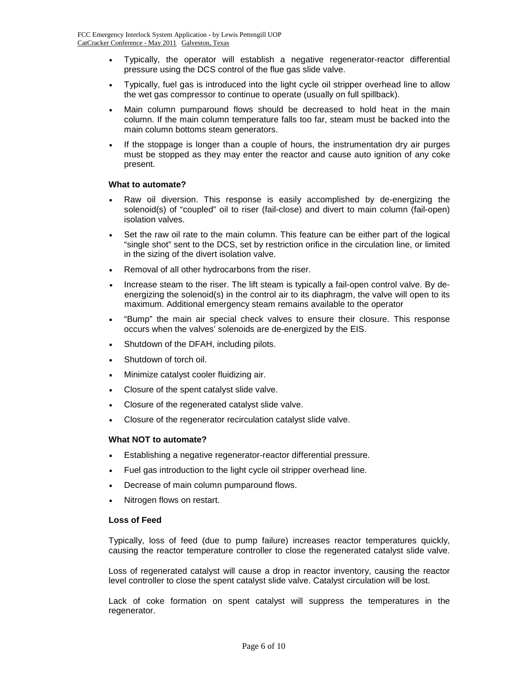- Typically, the operator will establish a negative regenerator-reactor differential pressure using the DCS control of the flue gas slide valve.
- Typically, fuel gas is introduced into the light cycle oil stripper overhead line to allow the wet gas compressor to continue to operate (usually on full spillback).
- Main column pumparound flows should be decreased to hold heat in the main column. If the main column temperature falls too far, steam must be backed into the main column bottoms steam generators.
- If the stoppage is longer than a couple of hours, the instrumentation dry air purges must be stopped as they may enter the reactor and cause auto ignition of any coke present.

#### **What to automate?**

- Raw oil diversion. This response is easily accomplished by de-energizing the solenoid(s) of "coupled" oil to riser (fail-close) and divert to main column (fail-open) isolation valves.
- Set the raw oil rate to the main column. This feature can be either part of the logical "single shot" sent to the DCS, set by restriction orifice in the circulation line, or limited in the sizing of the divert isolation valve.
- Removal of all other hydrocarbons from the riser.
- Increase steam to the riser. The lift steam is typically a fail-open control valve. By deenergizing the solenoid(s) in the control air to its diaphragm, the valve will open to its maximum. Additional emergency steam remains available to the operator
- "Bump" the main air special check valves to ensure their closure. This response occurs when the valves' solenoids are de-energized by the EIS.
- Shutdown of the DFAH, including pilots.
- Shutdown of torch oil.
- Minimize catalyst cooler fluidizing air.
- Closure of the spent catalyst slide valve.
- Closure of the regenerated catalyst slide valve.
- Closure of the regenerator recirculation catalyst slide valve.

# **What NOT to automate?**

- Establishing a negative regenerator-reactor differential pressure.
- Fuel gas introduction to the light cycle oil stripper overhead line.
- Decrease of main column pumparound flows.
- Nitrogen flows on restart.

#### **Loss of Feed**

Typically, loss of feed (due to pump failure) increases reactor temperatures quickly, causing the reactor temperature controller to close the regenerated catalyst slide valve.

Loss of regenerated catalyst will cause a drop in reactor inventory, causing the reactor level controller to close the spent catalyst slide valve. Catalyst circulation will be lost.

Lack of coke formation on spent catalyst will suppress the temperatures in the regenerator.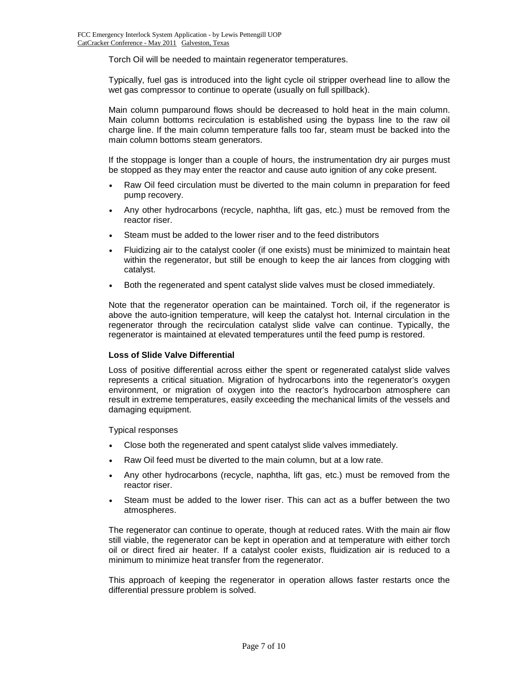Torch Oil will be needed to maintain regenerator temperatures.

Typically, fuel gas is introduced into the light cycle oil stripper overhead line to allow the wet gas compressor to continue to operate (usually on full spillback).

Main column pumparound flows should be decreased to hold heat in the main column. Main column bottoms recirculation is established using the bypass line to the raw oil charge line. If the main column temperature falls too far, steam must be backed into the main column bottoms steam generators.

If the stoppage is longer than a couple of hours, the instrumentation dry air purges must be stopped as they may enter the reactor and cause auto ignition of any coke present.

- Raw Oil feed circulation must be diverted to the main column in preparation for feed pump recovery.
- Any other hydrocarbons (recycle, naphtha, lift gas, etc.) must be removed from the reactor riser.
- Steam must be added to the lower riser and to the feed distributors
- Fluidizing air to the catalyst cooler (if one exists) must be minimized to maintain heat within the regenerator, but still be enough to keep the air lances from clogging with catalyst.
- Both the regenerated and spent catalyst slide valves must be closed immediately.

Note that the regenerator operation can be maintained. Torch oil, if the regenerator is above the auto-ignition temperature, will keep the catalyst hot. Internal circulation in the regenerator through the recirculation catalyst slide valve can continue. Typically, the regenerator is maintained at elevated temperatures until the feed pump is restored.

#### **Loss of Slide Valve Differential**

Loss of positive differential across either the spent or regenerated catalyst slide valves represents a critical situation. Migration of hydrocarbons into the regenerator's oxygen environment, or migration of oxygen into the reactor's hydrocarbon atmosphere can result in extreme temperatures, easily exceeding the mechanical limits of the vessels and damaging equipment.

Typical responses

- Close both the regenerated and spent catalyst slide valves immediately.
- Raw Oil feed must be diverted to the main column, but at a low rate.
- Any other hydrocarbons (recycle, naphtha, lift gas, etc.) must be removed from the reactor riser.
- Steam must be added to the lower riser. This can act as a buffer between the two atmospheres.

The regenerator can continue to operate, though at reduced rates. With the main air flow still viable, the regenerator can be kept in operation and at temperature with either torch oil or direct fired air heater. If a catalyst cooler exists, fluidization air is reduced to a minimum to minimize heat transfer from the regenerator.

This approach of keeping the regenerator in operation allows faster restarts once the differential pressure problem is solved.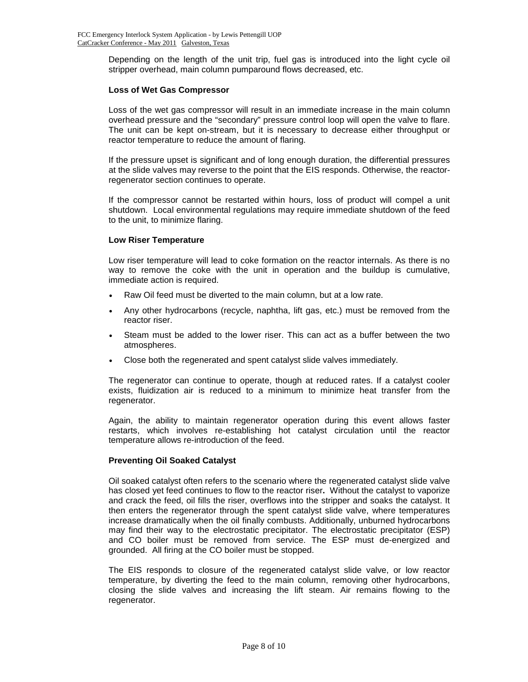Depending on the length of the unit trip, fuel gas is introduced into the light cycle oil stripper overhead, main column pumparound flows decreased, etc.

#### **Loss of Wet Gas Compressor**

Loss of the wet gas compressor will result in an immediate increase in the main column overhead pressure and the "secondary" pressure control loop will open the valve to flare. The unit can be kept on-stream, but it is necessary to decrease either throughput or reactor temperature to reduce the amount of flaring.

If the pressure upset is significant and of long enough duration, the differential pressures at the slide valves may reverse to the point that the EIS responds. Otherwise, the reactorregenerator section continues to operate.

If the compressor cannot be restarted within hours, loss of product will compel a unit shutdown. Local environmental regulations may require immediate shutdown of the feed to the unit, to minimize flaring.

#### **Low Riser Temperature**

Low riser temperature will lead to coke formation on the reactor internals. As there is no way to remove the coke with the unit in operation and the buildup is cumulative, immediate action is required.

- Raw Oil feed must be diverted to the main column, but at a low rate.
- Any other hydrocarbons (recycle, naphtha, lift gas, etc.) must be removed from the reactor riser.
- Steam must be added to the lower riser. This can act as a buffer between the two atmospheres.
- Close both the regenerated and spent catalyst slide valves immediately.

The regenerator can continue to operate, though at reduced rates. If a catalyst cooler exists, fluidization air is reduced to a minimum to minimize heat transfer from the regenerator.

Again, the ability to maintain regenerator operation during this event allows faster restarts, which involves re-establishing hot catalyst circulation until the reactor temperature allows re-introduction of the feed.

#### **Preventing Oil Soaked Catalyst**

Oil soaked catalyst often refers to the scenario where the regenerated catalyst slide valve has closed yet feed continues to flow to the reactor riser**.** Without the catalyst to vaporize and crack the feed, oil fills the riser, overflows into the stripper and soaks the catalyst. It then enters the regenerator through the spent catalyst slide valve, where temperatures increase dramatically when the oil finally combusts. Additionally, unburned hydrocarbons may find their way to the electrostatic precipitator. The electrostatic precipitator (ESP) and CO boiler must be removed from service. The ESP must de-energized and grounded. All firing at the CO boiler must be stopped.

The EIS responds to closure of the regenerated catalyst slide valve, or low reactor temperature, by diverting the feed to the main column, removing other hydrocarbons, closing the slide valves and increasing the lift steam. Air remains flowing to the regenerator.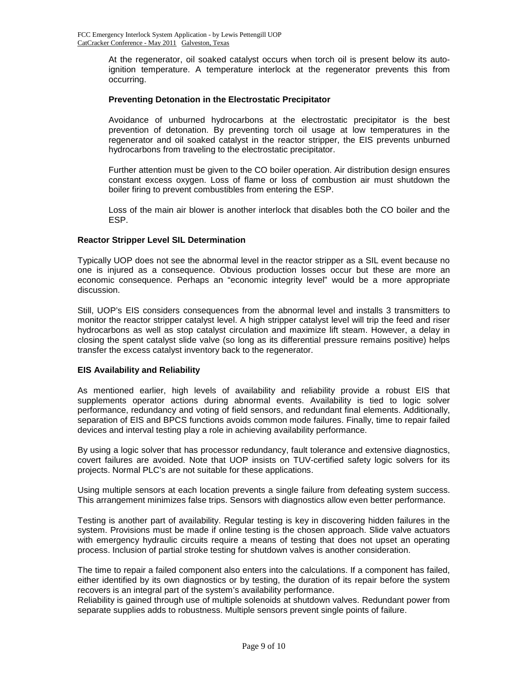At the regenerator, oil soaked catalyst occurs when torch oil is present below its autoignition temperature. A temperature interlock at the regenerator prevents this from occurring.

# **Preventing Detonation in the Electrostatic Precipitator**

Avoidance of unburned hydrocarbons at the electrostatic precipitator is the best prevention of detonation. By preventing torch oil usage at low temperatures in the regenerator and oil soaked catalyst in the reactor stripper, the EIS prevents unburned hydrocarbons from traveling to the electrostatic precipitator.

Further attention must be given to the CO boiler operation. Air distribution design ensures constant excess oxygen. Loss of flame or loss of combustion air must shutdown the boiler firing to prevent combustibles from entering the ESP.

Loss of the main air blower is another interlock that disables both the CO boiler and the ESP.

#### **Reactor Stripper Level SIL Determination**

Typically UOP does not see the abnormal level in the reactor stripper as a SIL event because no one is injured as a consequence. Obvious production losses occur but these are more an economic consequence. Perhaps an "economic integrity level" would be a more appropriate discussion.

Still, UOP's EIS considers consequences from the abnormal level and installs 3 transmitters to monitor the reactor stripper catalyst level. A high stripper catalyst level will trip the feed and riser hydrocarbons as well as stop catalyst circulation and maximize lift steam. However, a delay in closing the spent catalyst slide valve (so long as its differential pressure remains positive) helps transfer the excess catalyst inventory back to the regenerator.

#### **EIS Availability and Reliability**

As mentioned earlier, high levels of availability and reliability provide a robust EIS that supplements operator actions during abnormal events. Availability is tied to logic solver performance, redundancy and voting of field sensors, and redundant final elements. Additionally, separation of EIS and BPCS functions avoids common mode failures. Finally, time to repair failed devices and interval testing play a role in achieving availability performance.

By using a logic solver that has processor redundancy, fault tolerance and extensive diagnostics, covert failures are avoided. Note that UOP insists on TUV-certified safety logic solvers for its projects. Normal PLC's are not suitable for these applications.

Using multiple sensors at each location prevents a single failure from defeating system success. This arrangement minimizes false trips. Sensors with diagnostics allow even better performance.

Testing is another part of availability. Regular testing is key in discovering hidden failures in the system. Provisions must be made if online testing is the chosen approach. Slide valve actuators with emergency hydraulic circuits require a means of testing that does not upset an operating process. Inclusion of partial stroke testing for shutdown valves is another consideration.

The time to repair a failed component also enters into the calculations. If a component has failed, either identified by its own diagnostics or by testing, the duration of its repair before the system recovers is an integral part of the system's availability performance.

Reliability is gained through use of multiple solenoids at shutdown valves. Redundant power from separate supplies adds to robustness. Multiple sensors prevent single points of failure.